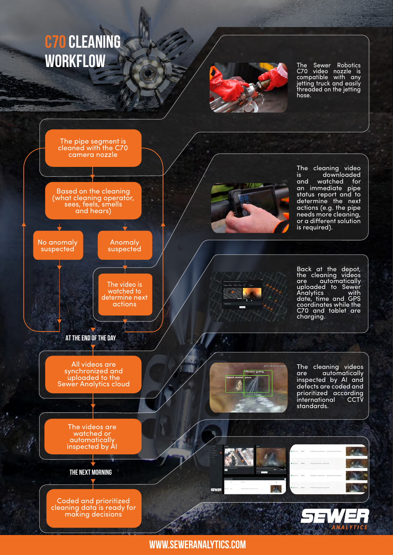## **C70 cleaning workflow**



The Sewer Robotics C70 video nozzle is compatible with any jetting truck and easily threaded on the jetting hose.



**[www.seweranalytics.com](http://www.seweranalytics.com)**